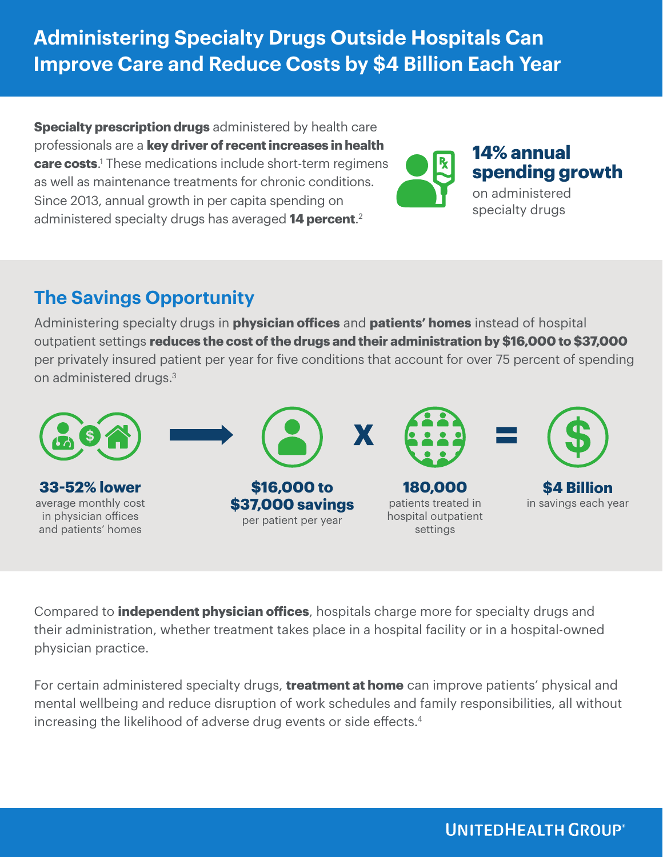**Administering Specialty Drugs Outside Hospitals Can Improve Care and Reduce Costs by \$4 Billion Each Year**

**Specialty prescription drugs** administered by health care professionals are a **key driver of recent increases in health care costs**. 1 These medications include short-term regimens as well as maintenance treatments for chronic conditions. Since 2013, annual growth in per capita spending on administered specialty drugs has averaged **14 percent**. 2



## **14% annual spending growth**

on administered specialty drugs

## **The Savings Opportunity**

Administering specialty drugs in **physician offices** and **patients' homes** instead of hospital outpatient settings **reduces the cost of the drugs and their administration by \$16,000 to \$37,000**  per privately insured patient per year for five conditions that account for over 75 percent of spending on administered drugs.<sup>3</sup>



Compared to **independent physician offices**, hospitals charge more for specialty drugs and their administration, whether treatment takes place in a hospital facility or in a hospital-owned physician practice.

For certain administered specialty drugs, **treatment at home** can improve patients' physical and mental wellbeing and reduce disruption of work schedules and family responsibilities, all without increasing the likelihood of adverse drug events or side effects.<sup>4</sup>